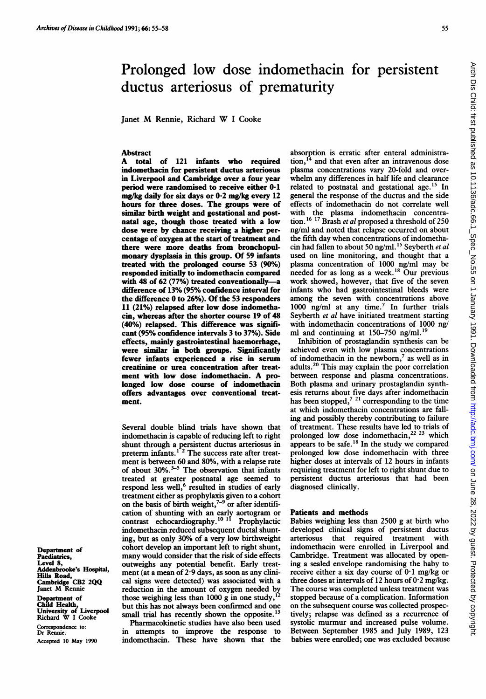# Prolonged low dose indomethacin for persistent ductus arteriosus of prematurity

Janet M Rennie, Richard W <sup>I</sup> Cooke

# Abstract<br>A total

of 121 infants who required indomethacin for persistent ductus arteriosus in Liverpool and Cambridge over a four year period were randomised to receive either 0-1 mg/kg daily for six days or 0-2 mg/kg every 12 hours for three doses. The groups were of similar birth weight and gestational and postnatal age, though those treated with a low dose were by chance receiving a higher percentage of oxygen at the start of treatment and there were more deaths from bronchopulmonary dysplasia in this group. Of 59 infants treated with the prolonged course 53 (90%) responded initially to indomethacin compared with 48 of 62 (77%) treated conventionally-a difference of 13% (95% confidence interval for the difference 0 to 26%). Of the 53 responders 11 (21%) relapsed after low dose indomethacin, whereas after the shorter course 19 of 48 (40%) relapsed. This difference was significant (95% confidence intervals 3 to 37%). Side effects, mainly gastrointestinal haemorrhage, were similar in both groups. Significantly fewer infants experienced a rise in serum creatinine or urea concentration after treatment with low dose indomethacin. A prolonged low dose course of indomethacin offers advantages over conventional treatment.

Several double blind trials have shown that indomethacin is capable of reducing left to right shunt through a persistent ductus arteriosus in preterm infants.<sup>1</sup> <sup>2</sup> The success rate after treatment is between 60 and 80%, with a relapse rate of about 30%.<sup> $55$ </sup> The observation that infants treated at greater postnatal age seemed to respond less well,<sup>6</sup> resulted in studies of early treatment either as prophylaxis given to a cohort on the basis of birth weight, $7-9$  or after identification of shunting with an early aortogram or contrast echocardiography.<sup>10 11</sup> Prophylactic indomethacin reduced subsequent ductal shunting, but as only 30% of a very low birthweight cohort develop an important left to right shunt, many would consider that the risk of side effects outweighs any potential benefit. Early treatment (at a mean of 2-9 days, as soon as any clinical signs were detected) was associated with a reduction in the amount of oxygen needed by those weighing less than 1000 g in one study, but this has not always been confirmed and one

small trial has recently shown the opposite.<sup>13</sup> Pharmacokinetic studies have also been used in attempts to improve the response to indomethacin. These have shown that the absorption is erratic after enteral administration,  $14$  and that even after an intravenous dose plasma concentrations vary 20-fold and overwhelm any differences in half life and clearance related to postnatal and gestational age.<sup>15</sup> In general the response of the ductus and the side effects of indomethacin do not correlate well with the plasma indomethacin concentration.  $16 \frac{17}{17}$  Brash *et al* proposed a threshold of 250 ng/ml and noted that relapse occurred on about the fifth day when concentrations of indomethacin had fallen to about 50 ng/ml.<sup>15</sup> Seyberth et al used on line monitoring, and thought that a plasma concentration of 1000 ng/ml may be needed for as long as a week.'8 Our previous work showed, however, that five of the seven infants who had gastrointestinal bleeds were among the seven with concentrations above 1000 ng/ml at any time.<sup>7</sup> In further trials Seyberth et al have initiated treatment starting with indomethacin concentrations of 1000 ng/ ml and continuing at  $150-750$  ng/ml.<sup>1</sup>

Inhibition of prostaglandin synthesis can be achieved even with low plasma concentrations of indomethacin in the newborn,<sup>7</sup> as well as in adults.20 This may explain the poor correlation between response and plasma concentrations. Both plasma and urinary prostaglandin synthesis returns about five days after indomethacin has been stopped, $7<sup>21</sup>$  corresponding to the time at which indomethacin concentrations are falling and possibly thereby contributing to failure of treatment. These results have led to trials of prolonged low dose indomethacin,<sup>22 23</sup> which appears to be safe.<sup>18</sup> In the study we compared prolonged low dose indomethacin with three higher doses at intervals of 12 hours in infants requiring treatment for left to right shunt due to persistent ductus arteriosus that had been diagnosed clinically.

## Patients and methods

Babies weighing less than 2500 g at birth who developed clinical signs of persistent ductus arteriosus that required treatment with indomethacin were enrolled in Liverpool and Cambridge. Treatment was allocated by opening a sealed envelope randomising the baby to receive either a six day course of  $0.1$  mg/kg or three doses at intervals of 12 hours of  $0.2$  mg/kg. The course was completed unless treatment was stopped because of a complication. Information on the subsequent course was collected prospectively; relapse was defined as a recurrence of systolic murmur and increased pulse volume. Between September 1985 and July 1989, 123 babies were enrolled; one was excluded because

Department of Paediatrics, Level 8, Addenbrooke's Hospital, Hills Road, Cambridge CB2 2QQ Janet M Rennie

Department of Child Health, University of Liverpool Richard W <sup>I</sup> Cooke

Correspondence to: Dr Rennie. Accepted 10 May 1990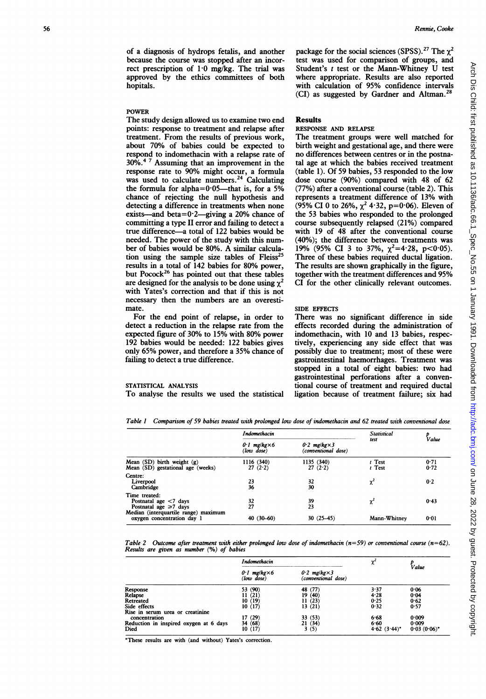of a diagnosis of hydrops fetalis, and another because the course was stopped after an incorrect prescription of 1-0 mg/kg. The trial was approved by the ethics committees of both hopitals.

#### POWER

The study design allowed us to examine two end points: response to treatment and relapse after treatment. From the results of previous work, about 70% of babies could be expected to respond to indomethacin with a relapse rate of 30%.<sup>4 7</sup> Assuming that an improvement in the response rate to 90% might occur, a formula was used to calculate numbers.<sup>24</sup> Calculating the formula for alpha= $0.05$ —that is, for a 5% chance of rejecting the null hypothesis and detecting a difference in treatments when none exists—and beta= $0.2$ —giving a 20% chance of committing a type II error and failing to detect a true difference-a total of 122 babies would be needed. The power of the study with this number of babies would be 80%. A similar calculation using the sample size tables of  $F \text{leiss}^{25}$ results in a total of 142 babies for 80% power, but Pocock<sup>26</sup> has pointed out that these tables are designed for the analysis to be done using  $\chi^2$ with Yates's correction and that if this is not necessary then the numbers are an overestimate.

For the end point of relapse, in order to detect a reduction in the relapse rate from the expected figure of 30% to 15% with 80% power 192 babies would be needed: 122 babies gives only 65% power, and therefore a 35% chance of failing to detect a true difference.

#### STATISTICAL ANALYSIS

To analyse the results we used the statistical

Rennie, Cooke

package for the social sciences (SPSS).<sup>27</sup> The  $\gamma^2$ test was used for comparison of groups, and Student's <sup>t</sup> test or the Mann-Whitney U test where appropriate. Results are also reported with calculation of 95% confidence intervals  $(CI)$  as suggested by Gardner and Altman.<sup>28</sup>

## Results

## RESPONSE AND RELAPSE

The treatment groups were well matched for birth weight and gestational age, and there were no differences between centres or in the postnatal age at which the babies received treatment (table 1). Of 59 babies, 53 responded to the low dose course (90%) compared with 48 of 62 (77%) after a conventional course (table 2). This represents a treatment difference of 13% with (95% CI 0 to 26%,  $\chi^2$  4·32, p=0·06). Eleven of the 53 babies who responded to the prolonged course subsequendy relapsed (21%) compared with 19 of 48 after the conventional course (40%); the difference between treatments was 19% (95% CI 3 to 37%,  $\chi^2$ =4.28, p<0.05). Three of these babies required ductal ligation. The results are shown graphically in the figure, together with the treatment differences and 95% CI for the other clinically relevant outcomes.

#### SIDE EFFECTS

There was no significant difference in side effects recorded during the administration of indomethacin, with 10 and 13 babies, respectively, experiencing any side effect that was possibly due to treatment; most of these were gastrointestinal haemorrhages. Treatment was stopped in a total of eight babies: two had gastrointestinal perforations after a conventional course of treatment and required ductal ligation because of treatment failure; six had

Table <sup>I</sup> Comparison of 59 babies treated with prolonged low dose of indomethacin and 62 treated with conventional dose

|                                                                          | <b>Indomethacin</b>                  |                                               | <b>Statistical</b>   |              |
|--------------------------------------------------------------------------|--------------------------------------|-----------------------------------------------|----------------------|--------------|
|                                                                          | $0.1$ mg/kg $\times$ 6<br>(low dose) | $0.2$ mg/kg $\times$ 3<br>(conventional dose) | test                 | Value        |
| Mean $(SD)$ birth weight $(g)$<br>Mean (SD) gestational age (weeks)      | 1116 (340)<br>27(2.2)                | 1135 (340)<br>27(2.2)                         | $t$ Test<br>$t$ Test | 0.71<br>0.72 |
| Centre:<br>Liverpool<br>Cambridge                                        | 23<br>36                             | 32<br>30                                      | $\chi^2$             | 0.2          |
| Time treated:<br>Postnatal age $<$ 7 days<br>Postnatal age $\geq 7$ days | 32<br>27                             | 39<br>23                                      | $\chi^2$             | 0.43         |
| Median (interquartile range) maximum<br>oxygen concentration day 1       | $40(30-60)$                          | $30(25-45)$                                   | Mann-Whitney         | 0.01         |

Table 2 Outcome after treatment with either prolonged low dose of indomethacin (n=59) or conventional course (n=62). Results are given as number (%) of babies

|                                        | Indomethacin                         |                                               | χ               | Value          |
|----------------------------------------|--------------------------------------|-----------------------------------------------|-----------------|----------------|
|                                        | $0.1$ mg/kg $\times$ 6<br>(low dose) | $0.2$ mg/kg $\times$ 3<br>(conventional dose) |                 |                |
| Response                               | 53 (90)                              | 48 (77)                                       | 3.37            | 0.06           |
| Relapse                                | 11(21)                               | 19(40)                                        | 4.28            | 0.04           |
| Retreated                              | 10(19)                               | 11(23)                                        | 0.25            | 0.62           |
| Side effects                           | 10(17)                               | 13(21)                                        | 0.32            | 0.57           |
| Rise in serum urea or creatinine       |                                      |                                               |                 |                |
| concentration                          | 17 (29)                              | 33(53)                                        | 6.68            | 0.009          |
| Reduction in inspired oxygen at 6 days | 34 (68)                              | 21(34)                                        | 6.60            | 0.009          |
| Died                                   | 10(17)                               | 3(5)                                          | 4.62 $(3.44)^*$ | $0.03(0.06)^*$ |

\*These results are with (and without) Yates's correction.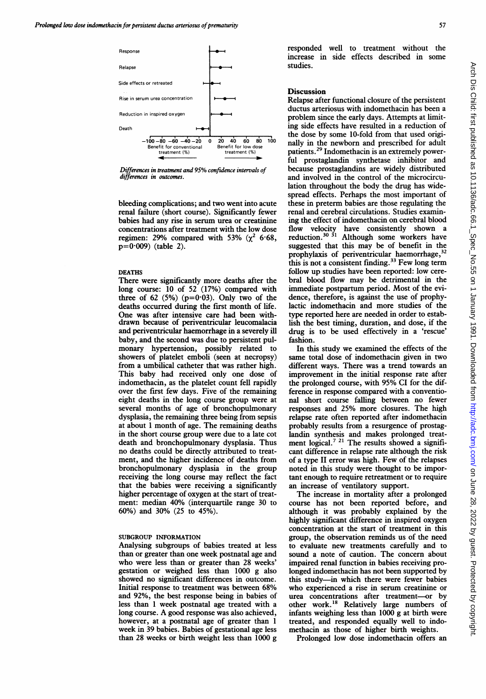

Differences in treatment and 95% conftdence intervals of differences in outcomes.

bleeding complications; and two went into acute renal failure (short course). Significantly fewer babies had any rise in serum urea or creatinine concentrations after treatment with the low dose regimen: 29% compared with 53% ( $\chi^2$  6.68,  $p=0.009$  (table 2).

#### DEATHS

There were significantly more deaths after the long course: 10 of 52 (17%) compared with three of 62  $(5\%)$  (p=0.03). Only two of the deaths occurred during the first month of life. One was after intensive care had been withdrawn because of periventricular leucomalacia and periventricular haemorrhage in a severely ill baby, and the second was due to persistent pulmonary hypertension, possibly related to showers of platelet emboli (seen at necropsy) from a umbilical catheter that was rather high. This baby had received only one dose of indomethacin, as the platelet count fell rapidly over the first few days. Five of the remaining eight deaths in the long course group were at several months of age of bronchopulmonary dysplasia, the remaining three being from sepsis at about <sup>1</sup> month of age. The remaining deaths in the short course group were due to a late cot death and bronchopulmonary dysplasia. Thus no deaths could be directly attributed to treatment, and the higher incidence of deaths from bronchopulmonary dysplasia in the group receiving the long course may reflect the fact that the babies were receiving a significandy higher percentage of oxygen at the start of treatment: median 40% (interquartile range 30 to 60%) and 30% (25 to 45%).

## SUBGROUP INFORMATION

Analysing subgroups of babies treated at less than or greater than one week postnatal age and who were less than or greater than 28 weeks' gestation or weighed less than 1000 g also showed no significant differences in outcome. Initial response to treatment was between 68% and 92%, the best response being in babies of less than <sup>1</sup> week postnatal age treated with a long course. A good response was also achieved, however, at a postnatal age of greater than <sup>1</sup> week in 39 babies. Babies of gestational age less than 28 weeks or birth weight less than 1000 g

responded well to treatment without the increase in side effects described in some studies.

### **Discussion**

Relapse after functional closure of the persistent ductus arteriosus with indomethacin has been a problem since the early days. Attempts at limiting side effects have resulted in a reduction of the dose by some 10-fold from that used originally in the newborn and prescribed for adult patients.29 Indomethacin is an extremely powerful prostaglandin synthetase inhibitor and because prostaglandins are widely distributed and involved in the control of the microcirculation throughout the body the drug has widespread effects. Perhaps the most important of these in preterm babies are those regulating the renal and cerebral circulations. Studies examining the effect of indomethacin on cerebral blood flow velocity have consistently shown a reduction.<sup>30</sup><sup>31</sup> Although some workers have suggested that this may be of benefit in the prophylaxis of periventricular haemorrhage,<sup>32</sup> this is not a consistent finding.<sup>33</sup> Few long term follow up studies have been reported: low cerebral blood flow may be detrimental in the immediate postpartum period. Most of the evidence, therefore, is against the use of prophylactic indomethacin and more studies of the type reported here are needed in order to establish the best timing, duration, and dose, if the drug is to be used effectively in a 'rescue' fashion.

In this study we examined the effects of the same total dose of indomethacin given in two different ways. There was a trend towards an improvement in the initial response rate after the prolonged course, with 95% CI for the difference in response compared with a conventional short course falling between no fewer responses and 25% more closures. The high relapse rate often reported after indomethacin probably results from a resurgence of prostaglandin synthesis and makes prolonged treatment logical.<sup>721</sup> The results showed a significant difference in relapse rate although the risk of a type II error was high. Few of the relapses noted in this study were thought to be important enough to require retreatment or to require an increase of ventilatory support.

The increase in mortality after a prolonged course has not been reported before, and although it was probably explained by the highly significant difference in inspired oxygen concentration at the start of treatment in this group, the observation reminds us of the need to evaluate new treatments carefully and to sound a note of caution. The concern about impaired renal function in babies receiving prolonged indomethacin has not been supported by this study-in which there were fewer babies who experienced a rise in serum creatinine or urea concentrations after treatment-or by other work.'8 Relatively large numbers of infants weighing less than 1000 g at birth were treated, and responded equally well to indomethacin as those of higher birth weights.

Prolonged low dose indomethacin offers an